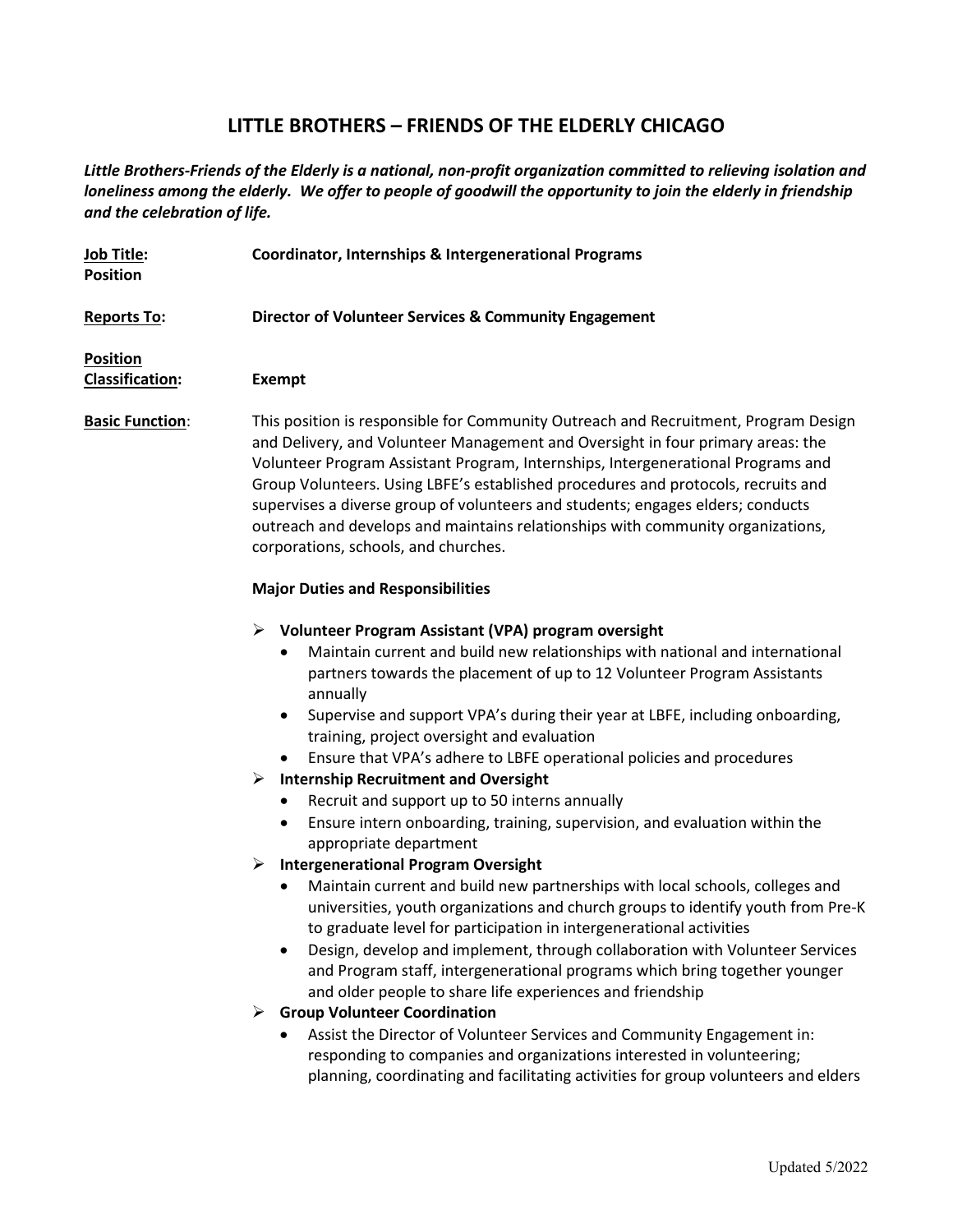## **LITTLE BROTHERS – FRIENDS OF THE ELDERLY CHICAGO**

*Little Brothers-Friends of the Elderly is a national, non-profit organization committed to relieving isolation and loneliness among the elderly. We offer to people of goodwill the opportunity to join the elderly in friendship and the celebration of life.*

| Job Title:<br><b>Position</b>             | <b>Coordinator, Internships &amp; Intergenerational Programs</b>                                                                                                                                                                                                                                                                                                                                                                                                                                                                                                                                                                                                                                                                                                                                                                                                                                                                                                                                                                                                                                                                                                                                                                                                                                                                                                                                                                                                 |
|-------------------------------------------|------------------------------------------------------------------------------------------------------------------------------------------------------------------------------------------------------------------------------------------------------------------------------------------------------------------------------------------------------------------------------------------------------------------------------------------------------------------------------------------------------------------------------------------------------------------------------------------------------------------------------------------------------------------------------------------------------------------------------------------------------------------------------------------------------------------------------------------------------------------------------------------------------------------------------------------------------------------------------------------------------------------------------------------------------------------------------------------------------------------------------------------------------------------------------------------------------------------------------------------------------------------------------------------------------------------------------------------------------------------------------------------------------------------------------------------------------------------|
| Reports To:                               | Director of Volunteer Services & Community Engagement                                                                                                                                                                                                                                                                                                                                                                                                                                                                                                                                                                                                                                                                                                                                                                                                                                                                                                                                                                                                                                                                                                                                                                                                                                                                                                                                                                                                            |
| <b>Position</b><br><b>Classification:</b> | <b>Exempt</b>                                                                                                                                                                                                                                                                                                                                                                                                                                                                                                                                                                                                                                                                                                                                                                                                                                                                                                                                                                                                                                                                                                                                                                                                                                                                                                                                                                                                                                                    |
| <b>Basic Function:</b>                    | This position is responsible for Community Outreach and Recruitment, Program Design<br>and Delivery, and Volunteer Management and Oversight in four primary areas: the<br>Volunteer Program Assistant Program, Internships, Intergenerational Programs and<br>Group Volunteers. Using LBFE's established procedures and protocols, recruits and<br>supervises a diverse group of volunteers and students; engages elders; conducts<br>outreach and develops and maintains relationships with community organizations,<br>corporations, schools, and churches.                                                                                                                                                                                                                                                                                                                                                                                                                                                                                                                                                                                                                                                                                                                                                                                                                                                                                                    |
|                                           | <b>Major Duties and Responsibilities</b>                                                                                                                                                                                                                                                                                                                                                                                                                                                                                                                                                                                                                                                                                                                                                                                                                                                                                                                                                                                                                                                                                                                                                                                                                                                                                                                                                                                                                         |
|                                           | Volunteer Program Assistant (VPA) program oversight<br>➤<br>Maintain current and build new relationships with national and international<br>partners towards the placement of up to 12 Volunteer Program Assistants<br>annually<br>Supervise and support VPA's during their year at LBFE, including onboarding,<br>training, project oversight and evaluation<br>Ensure that VPA's adhere to LBFE operational policies and procedures<br><b>Internship Recruitment and Oversight</b><br>➤<br>Recruit and support up to 50 interns annually<br>Ensure intern onboarding, training, supervision, and evaluation within the<br>appropriate department<br><b>Intergenerational Program Oversight</b><br>➤<br>Maintain current and build new partnerships with local schools, colleges and<br>universities, youth organizations and church groups to identify youth from Pre-K<br>to graduate level for participation in intergenerational activities<br>Design, develop and implement, through collaboration with Volunteer Services<br>and Program staff, intergenerational programs which bring together younger<br>and older people to share life experiences and friendship<br><b>Group Volunteer Coordination</b><br>➤<br>Assist the Director of Volunteer Services and Community Engagement in:<br>responding to companies and organizations interested in volunteering;<br>planning, coordinating and facilitating activities for group volunteers and elders |